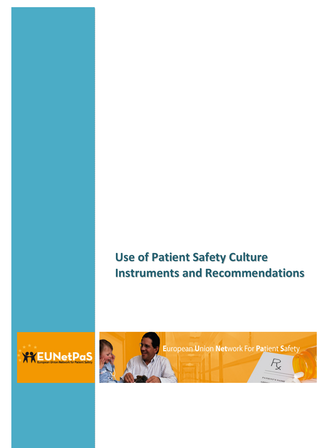# **Use of Patient Safety Culture Instruments and Recommendations**





*Use of Patient Safety Culture Instruments and Recommendations* <sup>0</sup>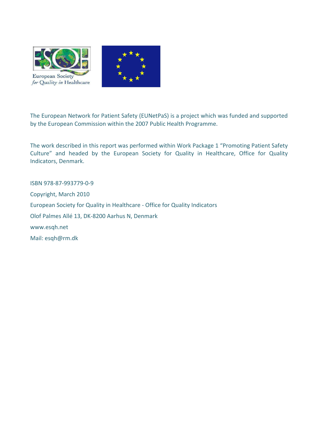

The European Network for Patient Safety (EUNetPaS) is a project which was funded and supported by the European Commission within the 2007 Public Health Programme.

The work described in this report was performed within Work Package 1 "Promoting Patient Safety Culture" and headed by the European Society for Quality in Healthcare, Office for Quality Indicators, Denmark.

ISBN 978‐87‐993779‐0‐9 Copyright, March 2010 European Society for Quality in Healthcare ‐ Office for Quality Indicators Olof Palmes Allé 13, DK‐8200 Aarhus N, Denmark www.esqh.net Mail: esqh@rm.dk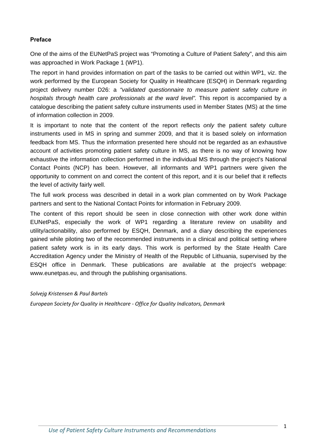#### **Preface**

One of the aims of the EUNetPaS project was "Promoting a Culture of Patient Safety", and this aim was approached in Work Package 1 (WP1).

The report in hand provides information on part of the tasks to be carried out within WP1, viz. the work performed by the European Society for Quality in Healthcare (ESQH) in Denmark regarding project delivery number D26: a *"validated questionnaire to measure patient safety culture in hospitals through health care professionals at the ward level".* This report is accompanied by a catalogue describing the patient safety culture instruments used in Member States (MS) at the time of information collection in 2009.

It is important to note that the content of the report reflects *only* the patient safety culture instruments used in MS in spring and summer 2009, and that it is based solely on information feedback from MS. Thus the information presented here should not be regarded as an exhaustive account of activities promoting patient safety culture in MS, as there is no way of knowing how exhaustive the information collection performed in the individual MS through the project's National Contact Points (NCP) has been. However, all informants and WP1 partners were given the opportunity to comment on and correct the content of this report, and it is our belief that it reflects the level of activity fairly well.

The full work process was described in detail in a work plan commented on by Work Package partners and sent to the National Contact Points for information in February 2009.

The content of this report should be seen in close connection with other work done within EUNetPaS, especially the work of WP1 regarding a literature review on usability and utility/actionability, also performed by ESQH, Denmark, and a diary describing the experiences gained while piloting two of the recommended instruments in a clinical and political setting where patient safety work is in its early days. This work is performed by the State Health Care Accreditation Agency under the Ministry of Health of the Republic of Lithuania, supervised by the ESQH office in Denmark. These publications are available at the project's webpage: www.eunetpas.eu, and through the publishing organisations.

#### *Solvejg Kristensen & Paul Bartels*

*European Society for Quality in Healthcare ‐ Office for Quality Indicators, Denmark*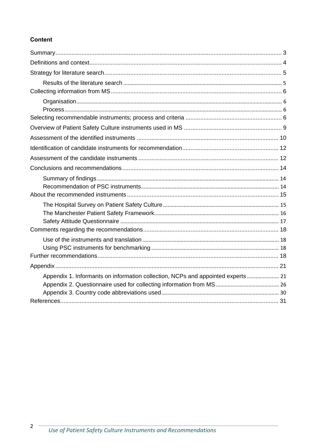# **Content**

| Appendix 1. Informants on information collection, NCPs and appointed experts 21 |  |
|---------------------------------------------------------------------------------|--|
|                                                                                 |  |
|                                                                                 |  |
|                                                                                 |  |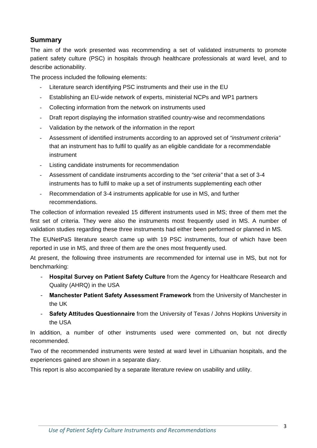# **Summary**

The aim of the work presented was recommending a set of validated instruments to promote patient safety culture (PSC) in hospitals through healthcare professionals at ward level, and to describe actionability.

The process included the following elements:

- Literature search identifying PSC instruments and their use in the EU
- Establishing an EU-wide network of experts, ministerial NCPs and WP1 partners
- Collecting information from the network on instruments used
- Draft report displaying the information stratified country-wise and recommendations
- Validation by the network of the information in the report
- Assessment of identified instruments according to an approved set of *"instrument criteria"* that an instrument has to fulfil to qualify as an eligible candidate for a recommendable instrument
- Listing candidate instruments for recommendation
- Assessment of candidate instruments according to the *"set criteria"* that a set of 3-4 instruments has to fulfil to make up a set of instruments supplementing each other
- Recommendation of 3-4 instruments applicable for use in MS, and further recommendations.

The collection of information revealed 15 different instruments used in MS; three of them met the first set of criteria. They were also the instruments most frequently used in MS. A number of validation studies regarding these three instruments had either been performed or planned in MS.

The EUNetPaS literature search came up with 19 PSC instruments, four of which have been reported in use in MS, and three of them are the ones most frequently used.

At present, the following three instruments are recommended for internal use in MS, but not for benchmarking:

- **Hospital Survey on Patient Safety Culture** from the Agency for Healthcare Research and Quality (AHRQ) in the USA
- **Manchester Patient Safety Assessment Framework** from the University of Manchester in the UK
- **Safety Attitudes Questionnaire** from the University of Texas / Johns Hopkins University in the USA

In addition, a number of other instruments used were commented on, but not directly recommended.

Two of the recommended instruments were tested at ward level in Lithuanian hospitals, and the experiences gained are shown in a separate diary.

This report is also accompanied by a separate literature review on usability and utility.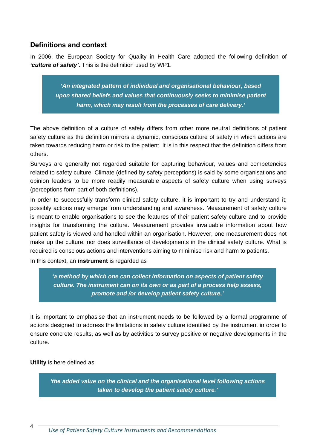## **Definitions and context**

In 2006, the European Society for Quality in Health Care adopted the following definition of *'culture of safety'.* This is the definition used by WP1.

*'An integrated pattern of individual and organisational behaviour, based upon shared beliefs and values that continuously seeks to minimise patient harm, which may result from the processes of care delivery.'* 

The above definition of a culture of safety differs from other more neutral definitions of patient safety culture as the definition mirrors a dynamic, conscious culture of safety in which actions are taken towards reducing harm or risk to the patient. It is in this respect that the definition differs from others.

Surveys are generally not regarded suitable for capturing behaviour, values and competencies related to safety culture. Climate (defined by safety perceptions) is said by some organisations and opinion leaders to be more readily measurable aspects of safety culture when using surveys (perceptions form part of both definitions).

In order to successfully transform clinical safety culture, it is important to try and understand it; possibly actions may emerge from understanding and awareness. Measurement of safety culture is meant to enable organisations to see the features of their patient safety culture and to provide insights for transforming the culture. Measurement provides invaluable information about how patient safety is viewed and handled within an organisation. However, one measurement does not make up the culture, nor does surveillance of developments in the clinical safety culture. What is required is conscious actions and interventions aiming to minimise risk and harm to patients.

In this context, an **instrument** is regarded as

*'a method by which one can collect information on aspects of patient safety culture. The instrument can on its own or as part of a process help assess, promote and /or develop patient safety culture.'* 

It is important to emphasise that an instrument needs to be followed by a formal programme of actions designed to address the limitations in safety culture identified by the instrument in order to ensure concrete results, as well as by activities to survey positive or negative developments in the culture.

**Utility** is here defined as

*'the added value on the clinical and the organisational level following actions taken to develop the patient safety culture.'*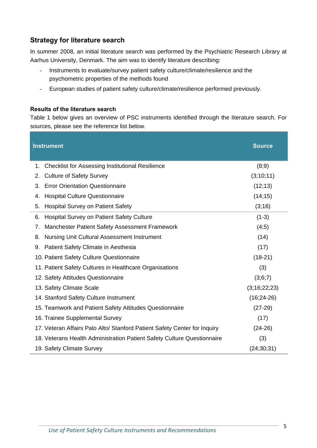## **Strategy for literature search**

In summer 2008, an initial literature search was performed by the Psychiatric Research Library at Aarhus University, Denmark. The aim was to identify literature describing:

- Instruments to evaluate/survey patient safety culture/climate/resilience and the psychometric properties of the methods found
- European studies of patient safety culture/climate/resilience performed previously.

#### **Results of the literature search**

Table 1 below gives an overview of PSC instruments identified through the literature search. For sources, please see the reference list below.

| <b>Instrument</b>                                                         | <b>Source</b> |
|---------------------------------------------------------------------------|---------------|
| <b>Checklist for Assessing Institutional Resilience</b><br>1.             | (8;9)         |
| <b>Culture of Safety Survey</b><br>2.                                     | (3;10;11)     |
| <b>Error Orientation Questionnaire</b><br>3.                              | (12;13)       |
| <b>Hospital Culture Questionnaire</b><br>4.                               | (14;15)       |
| <b>Hospital Survey on Patient Safety</b><br>5.                            | (3;16)        |
| Hospital Survey on Patient Safety Culture<br>6.                           | $(1-3)$       |
| Manchester Patient Safety Assessment Framework<br>7.                      | (4,5)         |
| Nursing Unit Cultural Assessment Instrument<br>8.                         | (14)          |
| Patient Safety Climate in Aesthesia<br>9.                                 | (17)          |
| 10. Patient Safety Culture Questionnaire                                  | $(18-21)$     |
| 11. Patient Safety Cultures in Healthcare Organisations                   | (3)           |
| 12. Safety Attitudes Questionnaire                                        | (3;6;7)       |
| 13. Safety Climate Scale                                                  | (3;16;22;23)  |
| 14. Stanford Safety Culture Instrument                                    | $(16;24-26)$  |
| 15. Teamwork and Patient Safety Attitudes Questionnaire                   | $(27-29)$     |
| 16. Trainee Supplemental Survey                                           | (17)          |
| 17. Veteran Affairs Palo Alto/ Stanford Patient Safety Center for Inquiry | $(24-26)$     |
| 18. Veterans Health Administration Patient Safety Culture Questionnaire   | (3)           |
| 19. Safety Climate Survey                                                 | (24; 30; 31)  |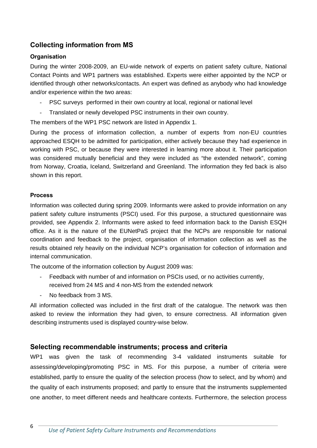## **Collecting information from MS**

#### **Organisation**

During the winter 2008-2009, an EU-wide network of experts on patient safety culture, National Contact Points and WP1 partners was established. Experts were either appointed by the NCP or identified through other networks/contacts. An expert was defined as anybody who had knowledge and/or experience within the two areas:

- PSC surveys performed in their own country at local, regional or national level
- Translated or newly developed PSC instruments in their own country.

The members of the WP1 PSC network are listed in Appendix 1.

During the process of information collection, a number of experts from non-EU countries approached ESQH to be admitted for participation, either actively because they had experience in working with PSC, or because they were interested in learning more about it. Their participation was considered mutually beneficial and they were included as "the extended network", coming from Norway, Croatia, Iceland, Switzerland and Greenland. The information they fed back is also shown in this report.

#### **Process**

Information was collected during spring 2009. Informants were asked to provide information on any patient safety culture instruments (PSCI) used. For this purpose, a structured questionnaire was provided, see Appendix 2. Informants were asked to feed information back to the Danish ESQH office. As it is the nature of the EUNetPaS project that the NCPs are responsible for national coordination and feedback to the project, organisation of information collection as well as the results obtained rely heavily on the individual NCP's organisation for collection of information and internal communication.

The outcome of the information collection by August 2009 was:

- Feedback with number of and information on PSCIs used, or no activities currently, received from 24 MS and 4 non-MS from the extended network
- No feedback from 3 MS.

All information collected was included in the first draft of the catalogue. The network was then asked to review the information they had given, to ensure correctness. All information given describing instruments used is displayed country-wise below.

#### **Selecting recommendable instruments; process and criteria**

WP1 was given the task of recommending 3-4 validated instruments suitable for assessing/developing/promoting PSC in MS. For this purpose, a number of criteria were established, partly to ensure the quality of the selection process (how to select, and by whom) and the quality of each instruments proposed; and partly to ensure that the instruments supplemented one another, to meet different needs and healthcare contexts. Furthermore, the selection process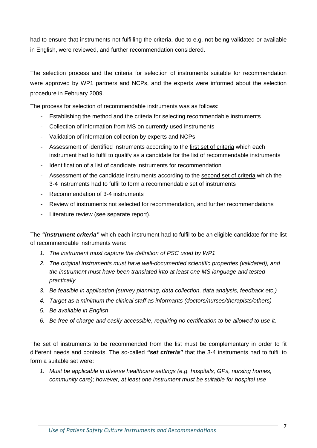had to ensure that instruments not fulfilling the criteria, due to e.g. not being validated or available in English, were reviewed, and further recommendation considered.

The selection process and the criteria for selection of instruments suitable for recommendation were approved by WP1 partners and NCPs, and the experts were informed about the selection procedure in February 2009.

The process for selection of recommendable instruments was as follows:

- Establishing the method and the criteria for selecting recommendable instruments
- Collection of information from MS on currently used instruments
- Validation of information collection by experts and NCPs
- Assessment of identified instruments according to the first set of criteria which each instrument had to fulfil to qualify as a candidate for the list of recommendable instruments
- Identification of a list of candidate instruments for recommendation
- Assessment of the candidate instruments according to the second set of criteria which the 3-4 instruments had to fulfil to form a recommendable set of instruments
- Recommendation of 3-4 instruments
- Review of instruments not selected for recommendation, and further recommendations
- Literature review (see separate report).

The *"instrument criteria"* which each instrument had to fulfil to be an eligible candidate for the list of recommendable instruments were:

- *1. The instrument must capture the definition of PSC used by WP1*
- *2. The original instruments must have well-documented scientific properties (validated), and the instrument must have been translated into at least one MS language and tested practically*
- *3. Be feasible in application (survey planning, data collection, data analysis, feedback etc.)*
- *4. Target as a minimum the clinical staff as informants (doctors/nurses/therapists/others)*
- *5. Be available in English*
- *6. Be free of charge and easily accessible, requiring no certification to be allowed to use it.*

The set of instruments to be recommended from the list must be complementary in order to fit different needs and contexts. The so-called *"set criteria"* that the 3-4 instruments had to fulfil to form a suitable set were:

*1. Must be applicable in diverse healthcare settings (e.g. hospitals, GPs, nursing homes, community care); however, at least one instrument must be suitable for hospital use*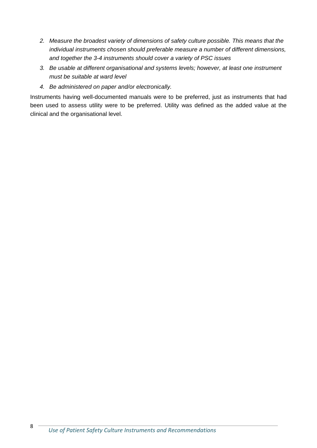- *2. Measure the broadest variety of dimensions of safety culture possible. This means that the individual instruments chosen should preferable measure a number of different dimensions, and together the 3-4 instruments should cover a variety of PSC issues*
- *3. Be usable at different organisational and systems levels; however, at least one instrument must be suitable at ward level*
- *4. Be administered on paper and/or electronically.*

Instruments having well-documented manuals were to be preferred, just as instruments that had been used to assess utility were to be preferred. Utility was defined as the added value at the clinical and the organisational level.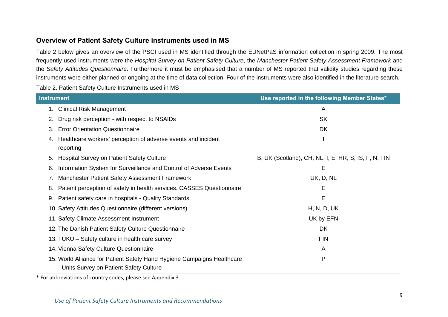## **Overview of Patient Safety Culture instruments used in MS**

Table 2 below gives an overview of the PSCI used in MS identified through the EUNetPaS information collection in spring 2009. The most frequently used instruments were the *Hospital Survey on Patient Safety Culture*, the *Manchester Patient Safety Assessment Framework* and the *Safety Attitudes Questionnaire*. Furthermore it must be emphasised that a number of MS reported that validity studies regarding these instruments were either planned or ongoing at the time of data collection. Four of the instruments were also identified in the literature search.

Table 2. Patient Safety Culture Instruments used in MS

| Instrument |                                                                                                                     | Use reported in the following Member States*         |
|------------|---------------------------------------------------------------------------------------------------------------------|------------------------------------------------------|
| 1.         | <b>Clinical Risk Management</b>                                                                                     | A                                                    |
| 2.         | Drug risk perception - with respect to NSAIDs                                                                       | <b>SK</b>                                            |
| 3.         | <b>Error Orientation Questionnaire</b>                                                                              | DK                                                   |
|            | Healthcare workers' perception of adverse events and incident<br>reporting                                          |                                                      |
| 5.         | Hospital Survey on Patient Safety Culture                                                                           | B, UK (Scotland), CH, NL, I, E, HR, S, IS, F, N, FIN |
| 6.         | Information System for Surveillance and Control of Adverse Events                                                   | E                                                    |
| 7.         | Manchester Patient Safety Assessment Framework                                                                      | UK, D, NL                                            |
| 8.         | Patient perception of safety in health services. CASSES Questionnaire                                               | Е                                                    |
| 9.         | Patient safety care in hospitals - Quality Standards                                                                | E                                                    |
|            | 10. Safety Attitudes Questionnaire (different versions)                                                             | H, N, D, UK                                          |
|            | 11. Safety Climate Assessment Instrument                                                                            | UK by EFN                                            |
|            | 12. The Danish Patient Safety Culture Questionnaire                                                                 | DK                                                   |
|            | 13. TUKU - Safety culture in health care survey                                                                     | <b>FIN</b>                                           |
|            | 14. Vienna Safety Culture Questionnaire                                                                             | A                                                    |
|            | 15. World Alliance for Patient Safety Hand Hygiene Campaigns Healthcare<br>- Units Survey on Patient Safety Culture | P                                                    |

\* For abbreviations of country codes, please see Appendix 3.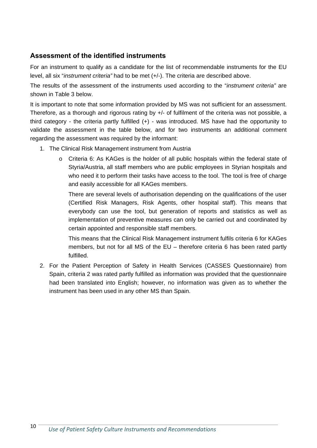## **Assessment of the identified instruments**

For an instrument to qualify as a candidate for the list of recommendable instruments for the EU level, all six "*instrument criteria"* had to be met (+/-). The criteria are described above.

The results of the assessment of the instruments used according to the "*instrument criteria"* are shown in Table 3 below.

It is important to note that some information provided by MS was not sufficient for an assessment. Therefore, as a thorough and rigorous rating by +/- of fulfilment of the criteria was not possible, a third category - the criteria partly fulfilled (+) - was introduced. MS have had the opportunity to validate the assessment in the table below, and for two instruments an additional comment regarding the assessment was required by the informant:

- 1. The Clinical Risk Management instrument from Austria
	- o Criteria 6: As KAGes is the holder of all public hospitals within the federal state of Styria/Austria, all staff members who are public employees in Styrian hospitals and who need it to perform their tasks have access to the tool. The tool is free of charge and easily accessible for all KAGes members.

There are several levels of authorisation depending on the qualifications of the user (Certified Risk Managers, Risk Agents, other hospital staff). This means that everybody can use the tool, but generation of reports and statistics as well as implementation of preventive measures can only be carried out and coordinated by certain appointed and responsible staff members.

This means that the Clinical Risk Management instrument fulfils criteria 6 for KAGes members, but not for all MS of the EU – therefore criteria 6 has been rated partly fulfilled.

2. For the Patient Perception of Safety in Health Services (CASSES Questionnaire) from Spain, criteria 2 was rated partly fulfilled as information was provided that the questionnaire had been translated into English; however, no information was given as to whether the instrument has been used in any other MS than Spain.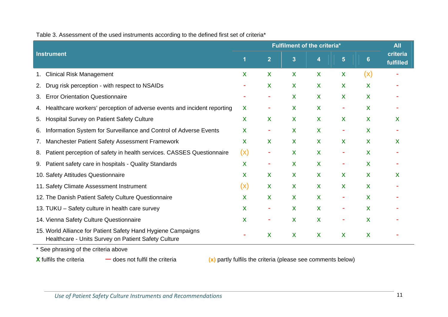|                                                                                                                     | Fulfilment of the criteria* |                |                |   |                |                           | <b>All</b>            |
|---------------------------------------------------------------------------------------------------------------------|-----------------------------|----------------|----------------|---|----------------|---------------------------|-----------------------|
| <b>Instrument</b>                                                                                                   | $\overline{\mathbf{1}}$     | $\overline{2}$ | $\overline{3}$ | 4 | $5\phantom{.}$ | 6                         | criteria<br>fulfilled |
| <b>Clinical Risk Management</b><br>1.                                                                               | X                           | X              | <b>X</b>       | X | X              | (x)                       |                       |
| Drug risk perception - with respect to NSAIDs<br>2.                                                                 |                             | X              | X              | X | X              | X                         |                       |
| <b>Error Orientation Questionnaire</b><br>3.                                                                        |                             |                | X              | X | X              | X                         |                       |
| Healthcare workers' perception of adverse events and incident reporting<br>4.                                       | X                           |                | X              | X |                | X                         |                       |
| Hospital Survey on Patient Safety Culture<br>5.                                                                     | X                           | X              | <b>X</b>       | X | X              | X                         | X                     |
| Information System for Surveillance and Control of Adverse Events<br>6.                                             | X                           | ۰              | X              | X | ٠              | X                         |                       |
| Manchester Patient Safety Assessment Framework<br>7.                                                                | X                           | X              | X              | X | X              | X                         | X                     |
| Patient perception of safety in health services. CASSES Questionnaire<br>8.                                         | (x)                         | ۰              | X              | X |                | X                         |                       |
| Patient safety care in hospitals - Quality Standards<br>9.                                                          | X                           | ۰              | X              | X | ٠              | X                         |                       |
| 10. Safety Attitudes Questionnaire                                                                                  | X                           | X              | X              | X | X              | X                         | X                     |
| 11. Safety Climate Assessment Instrument                                                                            | (x)                         | X              | X              | X | X              | X                         |                       |
| 12. The Danish Patient Safety Culture Questionnaire                                                                 | X                           | X              | X              | X |                | X                         |                       |
| 13. TUKU - Safety culture in health care survey                                                                     | X                           | ۰              | X              | X |                | X                         |                       |
| 14. Vienna Safety Culture Questionnaire                                                                             | X                           | ۰              | X              | X |                | X                         |                       |
| 15. World Alliance for Patient Safety Hand Hygiene Campaigns<br>Healthcare - Units Survey on Patient Safety Culture |                             | X              | X              | X | X              | $\boldsymbol{\mathsf{X}}$ |                       |
| $\star$ O a a la baselia a la filla la alteria la bassa                                                             |                             |                |                |   |                |                           |                       |

Table 3. Assessment of the used instruments according to the defined first set of criteria\*

See phrasing of the criteria above

**X** fulfils the criteria- does not fulfil the criteria (x) partly fulfils the criteria (please see comments below)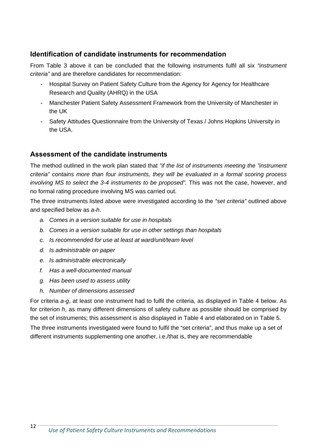## **Identification of candidate instruments for recommendation**

From Table 3 above it can be concluded that the following instruments fulfil all six *"instrument criteria"* and are therefore candidates for recommendation:

- Hospital Survey on Patient Safety Culture from the Agency for Agency for Healthcare Research and Quality (AHRQ) in the USA
- Manchester Patient Safety Assessment Framework from the University of Manchester in the UK
- Safety Attitudes Questionnaire from the University of Texas / Johns Hopkins University in the USA.

## **Assessment of the candidate instruments**

The method outlined in the work plan stated that *"if the list of instruments meeting the "instrument criteria" contains more than four instruments, they will be evaluated in a formal scoring process involving MS to select the 3-4 instruments to be proposed".* This was not the case, however, and no formal rating procedure involving MS was carried out.

The three instruments listed above were investigated according to the *"set criteria"* outlined above and specified below as *a-h*.

- *a. Comes in a version suitable for use in hospitals*
- *b. Comes in a version suitable for use in other settings than hospitals*
- *c. Is recommended for use at least at ward/unit/team level*
- *d. Is administrable on paper*
- *e. Is administrable electronically*
- *f. Has a well-documented manual*
- *g. Has been used to assess utility*
- *h. Number of dimensions assessed*

For criteria *a-g*, at least one instrument had to fulfil the criteria, as displayed in Table 4 below. As for criterion *h*, as many different dimensions of safety culture as possible should be comprised by the set of instruments; this assessment is also displayed in Table 4 and elaborated on in Table 5.

The three instruments investigated were found to fulfil the "set criteria", and thus make up a set of different instruments supplementing one another, i.e./that is, they are recommendable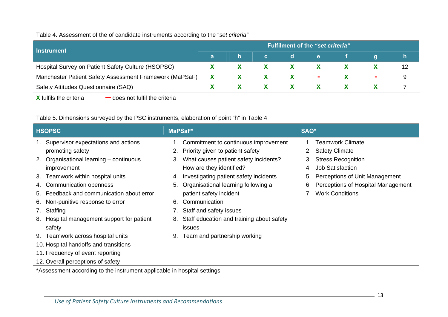#### Table 4. Assessment of the of candidate instruments according to the "*set criteria"*

| <b>Instrument</b>                                       |  | Fulfilment of the "set criteria" |              |                           |                                                                                                                |  |            |  |
|---------------------------------------------------------|--|----------------------------------|--------------|---------------------------|----------------------------------------------------------------------------------------------------------------|--|------------|--|
|                                                         |  |                                  | $\mathbf{C}$ | d.                        | e la contra de la contra de la contra de la contra de la contra de la contra de la contra de la contra de la c |  | <b>COL</b> |  |
| Hospital Survey on Patient Safety Culture (HSOPSC)      |  |                                  |              | $\mathsf{X}$ $\mathsf{X}$ |                                                                                                                |  |            |  |
| Manchester Patient Safety Assessment Framework (MaPSaF) |  | $\mathbf{X}$                     |              |                           | $\sim$                                                                                                         |  | $\sim$     |  |
| Safety Attitudes Questionnaire (SAQ)                    |  |                                  |              |                           |                                                                                                                |  |            |  |

**X** fulfils the criteria**─** does not fulfil the criteria

#### Table 5. Dimensions surveyed by the PSC instruments, elaboration of point "h" in Table 4

| <b>HSOPSC</b>                         |                                            |    | MaPSaF*                                   | SAQ* |                                    |  |
|---------------------------------------|--------------------------------------------|----|-------------------------------------------|------|------------------------------------|--|
|                                       | 1. Supervisor expectations and actions     |    | Commitment to continuous improvement      |      | <b>Teamwork Climate</b>            |  |
|                                       | promoting safety                           | 2. | Priority given to patient safety          |      | 2. Safety Climate                  |  |
|                                       | 2. Organisational learning – continuous    | 3. | What causes patient safety incidents?     | 3.   | <b>Stress Recognition</b>          |  |
|                                       | improvement                                |    | How are they identified?                  | 4.   | <b>Job Satisfaction</b>            |  |
|                                       | 3. Teamwork within hospital units          | 4. | Investigating patient safety incidents    | 5.   | Perceptions of Unit Management     |  |
|                                       | 4. Communication openness                  | 5. | Organisational learning following a       | 6.   | Perceptions of Hospital Management |  |
|                                       | 5. Feedback and communication about error  |    | patient safety incident                   |      | <b>Work Conditions</b>             |  |
|                                       | 6. Non-punitive response to error          | 6. | Communication                             |      |                                    |  |
|                                       | 7. Staffing                                | 7. | Staff and safety issues                   |      |                                    |  |
|                                       | 8. Hospital management support for patient | 8. | Staff education and training about safety |      |                                    |  |
|                                       | safety                                     |    | <i>issues</i>                             |      |                                    |  |
|                                       | 9. Teamwork across hospital units          | 9. | Team and partnership working              |      |                                    |  |
| 10. Hospital handoffs and transitions |                                            |    |                                           |      |                                    |  |
|                                       | 11. Frequency of event reporting           |    |                                           |      |                                    |  |
|                                       | 12. Overall perceptions of safety          |    |                                           |      |                                    |  |

\*Assessment according to the instrument applicable in hospital settings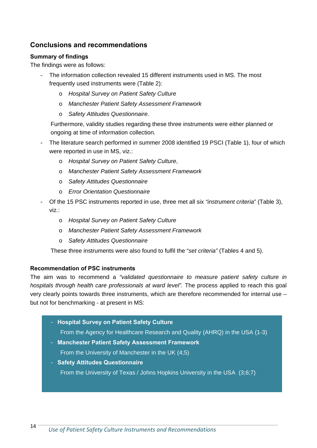## **Conclusions and recommendations**

#### **Summary of findings**

The findings were as follows:

- The information collection revealed 15 different instruments used in MS. The most frequently used instruments were (Table 2):
	- o *Hospital Survey on Patient Safety Culture*
	- o *Manchester Patient Safety Assessment Framework*
	- o *Safety Attitudes Questionnaire*.

Furthermore, validity studies regarding these three instruments were either planned or ongoing at time of information collection.

- The literature search performed in summer 2008 identified 19 PSCI (Table 1), four of which were reported in use in MS, viz.:
	- o *Hospital Survey on Patient Safety Culture*,
	- o *Manchester Patient Safety Assessment Framework*
	- o *Safety Attitudes Questionnaire*
	- o *Error Orientation Questionnaire*
- Of the 15 PSC instruments reported in use, three met all six *"instrument criteria*" (Table 3), viz.:
	- o *Hospital Survey on Patient Safety Culture*
	- o *Manchester Patient Safety Assessment Framework*
	- o *Safety Attitudes Questionnaire*

These three instruments were also found to fulfil the "*set criteria"* (Tables 4 and 5).

#### **Recommendation of PSC instruments**

The aim was to recommend a *"validated questionnaire to measure patient safety culture in hospitals through health care professionals at ward level".* The process applied to reach this goal very clearly points towards three instruments, which are therefore recommended for internal use – but not for benchmarking - at present in MS:

- **Hospital Survey on Patient Safety Culture** 

From the Agency for Healthcare Research and Quality (AHRQ) in the USA (1-3)

- **Manchester Patient Safety Assessment Framework**  From the University of Manchester in the UK (4;5)
- **Safety Attitudes Questionnaire**  From the University of Texas / Johns Hopkins University in the USA (3;6;7)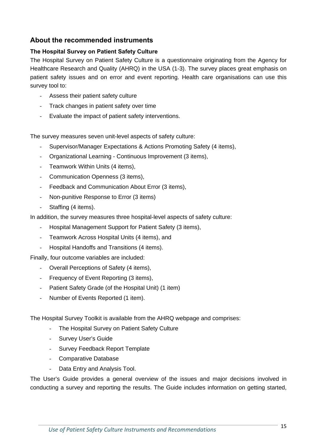## **About the recommended instruments**

#### **The Hospital Survey on Patient Safety Culture**

The Hospital Survey on Patient Safety Culture is a questionnaire originating from the Agency for Healthcare Research and Quality (AHRQ) in the USA (1-3). The survey places great emphasis on patient safety issues and on error and event reporting. Health care organisations can use this survey tool to:

- Assess their patient safety culture
- Track changes in patient safety over time
- Evaluate the impact of patient safety interventions.

The survey measures seven unit-level aspects of safety culture:

- Supervisor/Manager Expectations & Actions Promoting Safety (4 items),
- Organizational Learning Continuous Improvement (3 items),
- Teamwork Within Units (4 items),
- Communication Openness (3 items),
- Feedback and Communication About Error (3 items),
- Non-punitive Response to Error (3 items)
- Staffing (4 items).

In addition, the survey measures three hospital-level aspects of safety culture:

- Hospital Management Support for Patient Safety (3 items),
- Teamwork Across Hospital Units (4 items), and
- Hospital Handoffs and Transitions (4 items).

Finally, four outcome variables are included:

- Overall Perceptions of Safety (4 items),
- Frequency of Event Reporting (3 items),
- Patient Safety Grade (of the Hospital Unit) (1 item)
- Number of Events Reported (1 item).

The Hospital Survey Toolkit is available from the AHRQ webpage and comprises:

- The Hospital Survey on Patient Safety Culture
- Survey User's Guide
- Survey Feedback Report Template
- Comparative Database
- Data Entry and Analysis Tool.

The User's Guide provides a general overview of the issues and major decisions involved in conducting a survey and reporting the results. The Guide includes information on getting started,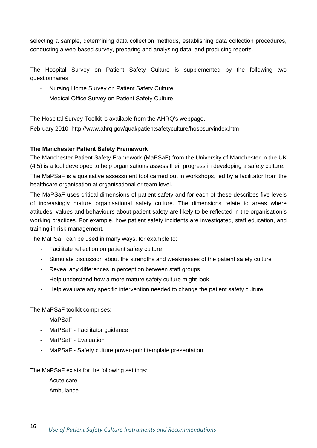selecting a sample, determining data collection methods, establishing data collection procedures, conducting a web-based survey, preparing and analysing data, and producing reports.

The Hospital Survey on Patient Safety Culture is supplemented by the following two questionnaires:

- Nursing Home Survey on Patient Safety Culture
- Medical Office Survey on Patient Safety Culture

The Hospital Survey Toolkit is available from the AHRQ's webpage.

February 2010: http://www.ahrq.gov/qual/patientsafetyculture/hospsurvindex.htm

#### **The Manchester Patient Safety Framework**

The Manchester Patient Safety Framework (MaPSaF) from the University of Manchester in the UK (4;5) is a tool developed to help organisations assess their progress in developing a safety culture.

The MaPSaF is a qualitative assessment tool carried out in workshops, led by a facilitator from the healthcare organisation at organisational or team level.

The MaPSaF uses critical dimensions of patient safety and for each of these describes five levels of increasingly mature organisational safety culture. The dimensions relate to areas where attitudes, values and behaviours about patient safety are likely to be reflected in the organisation's working practices. For example, how patient safety incidents are investigated, staff education, and training in risk management.

The MaPSaF can be used in many ways, for example to:

- Facilitate reflection on patient safety culture
- Stimulate discussion about the strengths and weaknesses of the patient safety culture
- Reveal any differences in perception between staff groups
- Help understand how a more mature safety culture might look
- Help evaluate any specific intervention needed to change the patient safety culture.

The MaPSaF toolkit comprises:

- MaPSaF
- MaPSaF Facilitator guidance
- MaPSaF Evaluation
- MaPSaF Safety culture power-point template presentation

The MaPSaF exists for the following settings:

- Acute care
- Ambulance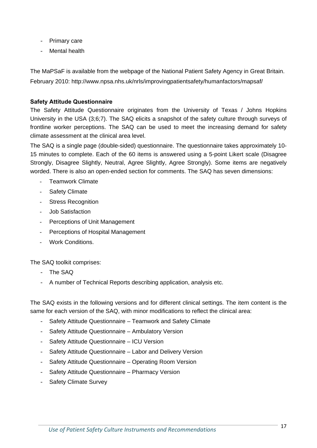- Primary care
- Mental health

The MaPSaF is available from the webpage of the National Patient Safety Agency in Great Britain. February 2010: http://www.npsa.nhs.uk/nrls/improvingpatientsafety/humanfactors/mapsaf/

#### **Safety Attitude Questionnaire**

The Safety Attitude Questionnaire originates from the University of Texas / Johns Hopkins University in the USA (3;6;7). The SAQ elicits a snapshot of the safety culture through surveys of frontline worker perceptions. The SAQ can be used to meet the increasing demand for safety climate assessment at the clinical area level.

The SAQ is a single page (double-sided) questionnaire. The questionnaire takes approximately 10- 15 minutes to complete. Each of the 60 items is answered using a 5-point Likert scale (Disagree Strongly, Disagree Slightly, Neutral, Agree Slightly, Agree Strongly). Some items are negatively worded. There is also an open-ended section for comments. The SAQ has seven dimensions:

- Teamwork Climate
- Safety Climate
- **Stress Recognition**
- Job Satisfaction
- Perceptions of Unit Management
- Perceptions of Hospital Management
- Work Conditions.

The SAQ toolkit comprises:

- The SAQ
- A number of Technical Reports describing application, analysis etc.

The SAQ exists in the following versions and for different clinical settings. The item content is the same for each version of the SAQ, with minor modifications to reflect the clinical area:

- Safety Attitude Questionnaire Teamwork and Safety Climate
- Safety Attitude Questionnaire Ambulatory Version
- Safety Attitude Questionnaire ICU Version
- Safety Attitude Questionnaire Labor and Delivery Version
- Safety Attitude Questionnaire Operating Room Version
- Safety Attitude Questionnaire Pharmacy Version
- Safety Climate Survey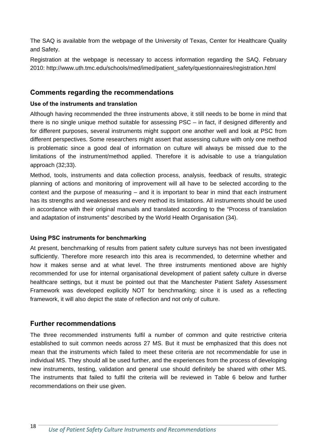The SAQ is available from the webpage of the University of Texas, Center for Healthcare Quality and Safety.

Registration at the webpage is necessary to access information regarding the SAQ. February 2010: http://www.uth.tmc.edu/schools/med/imed/patient\_safety/questionnaires/registration.html

## **Comments regarding the recommendations**

#### **Use of the instruments and translation**

Although having recommended the three instruments above, it still needs to be borne in mind that there is no single unique method suitable for assessing PSC – in fact, if designed differently and for different purposes, several instruments might support one another well and look at PSC from different perspectives. Some researchers might assert that assessing culture with only one method is problematic since a good deal of information on culture will always be missed due to the limitations of the instrument/method applied. Therefore it is advisable to use a triangulation approach (32;33).

Method, tools, instruments and data collection process, analysis, feedback of results, strategic planning of actions and monitoring of improvement will all have to be selected according to the context and the purpose of measuring – and it is important to bear in mind that each instrument has its strengths and weaknesses and every method its limitations. All instruments should be used in accordance with their original manuals and translated according to the "Process of translation and adaptation of instruments" described by the World Health Organisation (34).

#### **Using PSC instruments for benchmarking**

At present, benchmarking of results from patient safety culture surveys has not been investigated sufficiently. Therefore more research into this area is recommended, to determine whether and how it makes sense and at what level. The three instruments mentioned above are highly recommended for use for internal organisational development of patient safety culture in diverse healthcare settings, but it must be pointed out that the Manchester Patient Safety Assessment Framework was developed explicitly NOT for benchmarking; since it is used as a reflecting framework, it will also depict the state of reflection and not only of culture.

#### **Further recommendations**

The three recommended instruments fulfil a number of common and quite restrictive criteria established to suit common needs across 27 MS. But it must be emphasized that this does not mean that the instruments which failed to meet these criteria are not recommendable for use in individual MS. They should all be used further, and the experiences from the process of developing new instruments, testing, validation and general use should definitely be shared with other MS. The instruments that failed to fulfil the criteria will be reviewed in Table 6 below and further recommendations on their use given.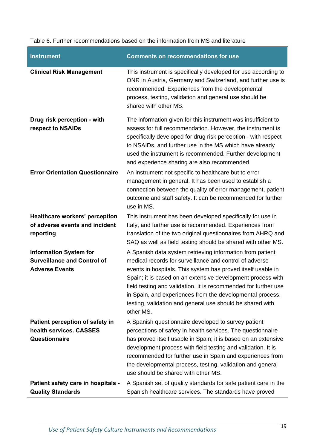| <b>Instrument</b>                                                                            | <b>Comments on recommendations for use</b>                                                                                                                                                                                                                                                                                                                                                                                                                    |
|----------------------------------------------------------------------------------------------|---------------------------------------------------------------------------------------------------------------------------------------------------------------------------------------------------------------------------------------------------------------------------------------------------------------------------------------------------------------------------------------------------------------------------------------------------------------|
| <b>Clinical Risk Management</b>                                                              | This instrument is specifically developed for use according to<br>ONR in Austria, Germany and Switzerland, and further use is<br>recommended. Experiences from the developmental<br>process, testing, validation and general use should be<br>shared with other MS.                                                                                                                                                                                           |
| Drug risk perception - with<br>respect to NSAIDs                                             | The information given for this instrument was insufficient to<br>assess for full recommendation. However, the instrument is<br>specifically developed for drug risk perception - with respect<br>to NSAIDs, and further use in the MS which have already<br>used the instrument is recommended. Further development<br>and experience sharing are also recommended.                                                                                           |
| <b>Error Orientation Questionnaire</b>                                                       | An instrument not specific to healthcare but to error<br>management in general. It has been used to establish a<br>connection between the quality of error management, patient<br>outcome and staff safety. It can be recommended for further<br>use in MS.                                                                                                                                                                                                   |
| Healthcare workers' perception<br>of adverse events and incident<br>reporting                | This instrument has been developed specifically for use in<br>Italy, and further use is recommended. Experiences from<br>translation of the two original questionnaires from AHRQ and<br>SAQ as well as field testing should be shared with other MS.                                                                                                                                                                                                         |
| <b>Information System for</b><br><b>Surveillance and Control of</b><br><b>Adverse Events</b> | A Spanish data system retrieving information from patient<br>medical records for surveillance and control of adverse<br>events in hospitals. This system has proved itself usable in<br>Spain; it is based on an extensive development process with<br>field testing and validation. It is recommended for further use<br>in Spain, and experiences from the developmental process,<br>testing, validation and general use should be shared with<br>other MS. |
| Patient perception of safety in<br>health services. CASSES<br>Questionnaire                  | A Spanish questionnaire developed to survey patient<br>perceptions of safety in health services. The questionnaire<br>has proved itself usable in Spain; it is based on an extensive<br>development process with field testing and validation. It is<br>recommended for further use in Spain and experiences from<br>the developmental process, testing, validation and general<br>use should be shared with other MS.                                        |
| Patient safety care in hospitals -<br><b>Quality Standards</b>                               | A Spanish set of quality standards for safe patient care in the<br>Spanish healthcare services. The standards have proved                                                                                                                                                                                                                                                                                                                                     |

#### Table 6. Further recommendations based on the information from MS and literature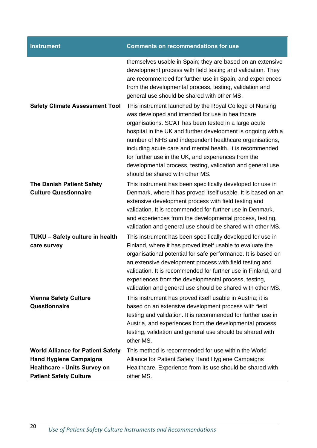| <b>Instrument</b>                                                    | <b>Comments on recommendations for use</b>                                                                                                                                                                                                                                                                                                                                                                                                                                                                           |
|----------------------------------------------------------------------|----------------------------------------------------------------------------------------------------------------------------------------------------------------------------------------------------------------------------------------------------------------------------------------------------------------------------------------------------------------------------------------------------------------------------------------------------------------------------------------------------------------------|
|                                                                      | themselves usable in Spain; they are based on an extensive<br>development process with field testing and validation. They<br>are recommended for further use in Spain, and experiences<br>from the developmental process, testing, validation and<br>general use should be shared with other MS.                                                                                                                                                                                                                     |
| <b>Safety Climate Assessment Tool</b>                                | This instrument launched by the Royal College of Nursing<br>was developed and intended for use in healthcare<br>organisations. SCAT has been tested in a large acute<br>hospital in the UK and further development is ongoing with a<br>number of NHS and independent healthcare organisations,<br>including acute care and mental health. It is recommended<br>for further use in the UK, and experiences from the<br>developmental process, testing, validation and general use<br>should be shared with other MS. |
| <b>The Danish Patient Safety</b><br><b>Culture Questionnaire</b>     | This instrument has been specifically developed for use in<br>Denmark, where it has proved itself usable. It is based on an<br>extensive development process with field testing and<br>validation. It is recommended for further use in Denmark,<br>and experiences from the developmental process, testing,<br>validation and general use should be shared with other MS.                                                                                                                                           |
| TUKU - Safety culture in health<br>care survey                       | This instrument has been specifically developed for use in<br>Finland, where it has proved itself usable to evaluate the<br>organisational potential for safe performance. It is based on<br>an extensive development process with field testing and<br>validation. It is recommended for further use in Finland, and<br>experiences from the developmental process, testing,<br>validation and general use should be shared with other MS.                                                                          |
| <b>Vienna Safety Culture</b><br>Questionnaire                        | This instrument has proved itself usable in Austria; it is<br>based on an extensive development process with field<br>testing and validation. It is recommended for further use in<br>Austria, and experiences from the developmental process,<br>testing, validation and general use should be shared with<br>other MS.                                                                                                                                                                                             |
| <b>World Alliance for Patient Safety</b>                             | This method is recommended for use within the World                                                                                                                                                                                                                                                                                                                                                                                                                                                                  |
| <b>Hand Hygiene Campaigns</b>                                        | Alliance for Patient Safety Hand Hygiene Campaigns                                                                                                                                                                                                                                                                                                                                                                                                                                                                   |
| <b>Healthcare - Units Survey on</b><br><b>Patient Safety Culture</b> | Healthcare. Experience from its use should be shared with<br>other MS.                                                                                                                                                                                                                                                                                                                                                                                                                                               |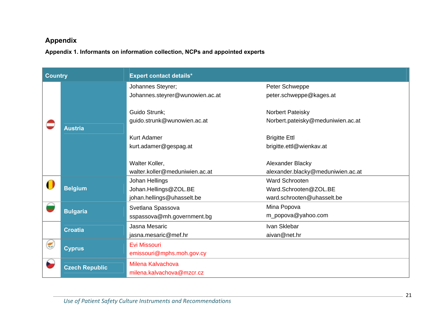# **Appendix**

**Appendix 1. Informants on information collection, NCPs and appointed experts** 

| <b>Country</b> |                       | <b>Expert contact details*</b>  |                                   |
|----------------|-----------------------|---------------------------------|-----------------------------------|
|                |                       | Johannes Steyrer;               | Peter Schweppe                    |
|                |                       | Johannes.steyrer@wunowien.ac.at | peter.schweppe@kages.at           |
|                |                       | Guido Strunk;                   | Norbert Pateisky                  |
|                | <b>Austria</b>        | guido.strunk@wunowien.ac.at     | Norbert.pateisky@meduniwien.ac.at |
|                |                       | <b>Kurt Adamer</b>              | <b>Brigitte Ettl</b>              |
|                |                       | kurt.adamer@gespag.at           | brigitte.ettl@wienkav.at          |
|                |                       | Walter Koller,                  | Alexander Blacky                  |
|                |                       | walter.koller@meduniwien.ac.at  | alexander.blacky@meduniwien.ac.at |
|                |                       | Johan Hellings                  | <b>Ward Schrooten</b>             |
|                | <b>Belgium</b>        | Johan.Hellings@ZOL.BE           | Ward.Schrooten@ZOL.BE             |
|                |                       | johan.hellings@uhasselt.be      | ward.schrooten@uhasselt.be        |
|                | <b>Bulgaria</b>       | Svetlana Spassova               | Mina Popova                       |
|                |                       | sspassova@mh.government.bg      | m_popova@yahoo.com                |
|                | <b>Croatia</b>        | Jasna Mesaric                   | Ivan Sklebar                      |
|                |                       | jasna.mesaric@mef.hr            | aivan@net.hr                      |
|                |                       | Evi Missouri                    |                                   |
|                | <b>Cyprus</b>         | emissouri@mphs.moh.gov.cy       |                                   |
|                |                       | Milena Kalvachova               |                                   |
|                | <b>Czech Republic</b> | milena.kalvachova@mzcr.cz       |                                   |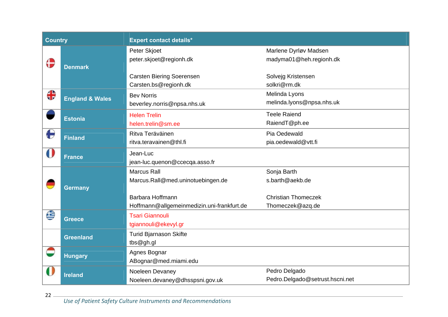| <b>Country</b> |                            | <b>Expert contact details*</b>             |                                 |
|----------------|----------------------------|--------------------------------------------|---------------------------------|
|                |                            | Peter Skjoet                               | Marlene Dyrløv Madsen           |
| G              | <b>Denmark</b>             | peter.skjoet@regionh.dk                    | madyma01@heh.regionh.dk         |
|                |                            | <b>Carsten Biering Soerensen</b>           | Solvejg Kristensen              |
|                |                            | Carsten.bs@regionh.dk                      | solkri@rm.dk                    |
| ╬              |                            | <b>Bev Norris</b>                          | Melinda Lyons                   |
|                | <b>England &amp; Wales</b> | beverley.norris@npsa.nhs.uk                | melinda.lyons@npsa.nhs.uk       |
|                | <b>Estonia</b>             | <b>Helen Trelin</b>                        | <b>Teele Raiend</b>             |
|                |                            | helen.trelin@sm.ee                         | RaiendT@ph.ee                   |
| €              | <b>Finland</b>             | Ritva Teräväinen                           | Pia Oedewald                    |
|                |                            | ritva.teravainen@thl.fi                    | pia.oedewald@vtt.fi             |
|                | <b>France</b>              | Jean-Luc                                   |                                 |
|                |                            | jean-luc.quenon@ccecqa.asso.fr             |                                 |
|                |                            | <b>Marcus Rall</b>                         | Sonja Barth                     |
|                | <b>Germany</b>             | Marcus.Rall@med.uninotuebingen.de          | s.barth@aekb.de                 |
|                |                            | Barbara Hoffmann                           | <b>Christian Thomeczek</b>      |
|                |                            | Hoffmann@allgemeinmedizin.uni-frankfurt.de | Thomeczek@azq.de                |
| €              |                            | <b>Tsari Giannouli</b>                     |                                 |
|                | <b>Greece</b>              | tgiannouli@ekevyl.gr                       |                                 |
|                | <b>Greenland</b>           | <b>Turid Bjarnason Skifte</b>              |                                 |
|                |                            | tbs@gh.gl                                  |                                 |
|                | <b>Hungary</b>             | Agnes Bognar                               |                                 |
|                |                            | ABognar@med.miami.edu                      |                                 |
|                | <b>Ireland</b>             | Noeleen Devaney                            | Pedro Delgado                   |
|                |                            | Noeleen.devaney@dhsspsni.gov.uk            | Pedro.Delgado@setrust.hscni.net |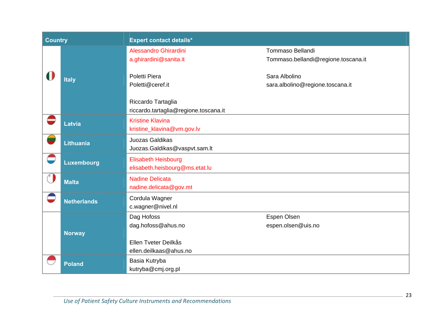| <b>Country</b> |                    | <b>Expert contact details*</b>                               |                                                         |
|----------------|--------------------|--------------------------------------------------------------|---------------------------------------------------------|
|                |                    | Alessandro Ghirardini<br>a.ghirardini@sanita.it              | Tommaso Bellandi<br>Tommaso.bellandi@regione.toscana.it |
|                | <b>Italy</b>       | Poletti Piera<br>Poletti@ceref.it                            | Sara Albolino<br>sara.albolino@regione.toscana.it       |
|                |                    | Riccardo Tartaglia<br>riccardo.tartaglia@regione.toscana.it  |                                                         |
|                | Latvia             | <b>Kristine Klavina</b><br>kristine_klavina@vm.gov.lv        |                                                         |
|                | <b>Lithuania</b>   | <b>Juozas Galdikas</b><br>Juozas.Galdikas@vaspvt.sam.lt      |                                                         |
|                | Luxembourg         | <b>Elisabeth Heisbourg</b><br>elisabeth.heisbourg@ms.etat.lu |                                                         |
|                | <b>Malta</b>       | <b>Nadine Delicata</b><br>nadine.delicata@gov.mt             |                                                         |
|                | <b>Netherlands</b> | Cordula Wagner<br>c.wagner@nivel.nl                          |                                                         |
|                | <b>Norway</b>      | Dag Hofoss<br>dag.hofoss@ahus.no                             | Espen Olsen<br>espen.olsen@uis.no                       |
|                |                    | Ellen Tveter Deilkås<br>ellen.deilkaas@ahus.no               |                                                         |
|                | <b>Poland</b>      | Basia Kutryba<br>kutryba@cmj.org.pl                          |                                                         |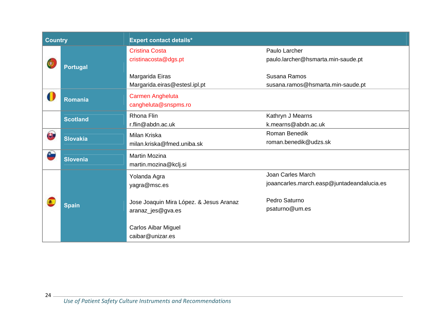| <b>Country</b> |                 | <b>Expert contact details*</b>                               |                                                                 |
|----------------|-----------------|--------------------------------------------------------------|-----------------------------------------------------------------|
|                | <b>Portugal</b> | <b>Cristina Costa</b><br>cristinacosta@dgs.pt                | Paulo Larcher<br>paulo.larcher@hsmarta.min-saude.pt             |
|                |                 | Margarida Eiras<br>Margarida.eiras@estesl.ipl.pt             | Susana Ramos<br>susana.ramos@hsmarta.min-saude.pt               |
|                | Romania         | <b>Carmen Angheluta</b><br>cangheluta@snspms.ro              |                                                                 |
|                | <b>Scotland</b> | Rhona Flin<br>$r$ .flin@abdn.ac.uk                           | Kathryn J Mearns<br>k.mearns@abdn.ac.uk                         |
| $\mathbf{U}$   | <b>Slovakia</b> | Milan Kriska<br>milan.kriska@fmed.uniba.sk                   | <b>Roman Benedik</b><br>roman.benedik@udzs.sk                   |
|                | <b>Slovenia</b> | <b>Martin Mozina</b><br>martin.mozina@kclj.si                |                                                                 |
|                |                 | Yolanda Agra<br>yagra@msc.es                                 | Joan Carles March<br>joaancarles.march.easp@juntadeandalucia.es |
|                | <b>Spain</b>    | Jose Joaquin Mira López. & Jesus Aranaz<br>aranaz_jes@gva.es | Pedro Saturno<br>psaturno@um.es                                 |
|                |                 | <b>Carlos Aibar Miguel</b><br>caibar@unizar.es               |                                                                 |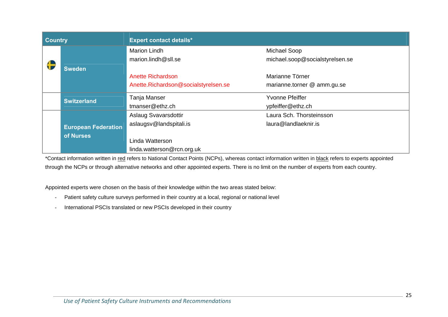| <b>Country</b> |                            | <b>Expert contact details*</b>             |                                                 |
|----------------|----------------------------|--------------------------------------------|-------------------------------------------------|
|                |                            | <b>Marion Lindh</b><br>marion.lindh@sll.se | Michael Soop<br>michael.soop@socialstyrelsen.se |
|                | <b>Sweden</b>              |                                            |                                                 |
|                |                            | <b>Anette Richardson</b>                   | Marianne Törner                                 |
|                |                            | Anette.Richardson@socialstyrelsen.se       | marianne.torner @ amm.gu.se                     |
|                | <b>Switzerland</b>         | Tanja Manser                               | <b>Yvonne Pfeiffer</b>                          |
|                |                            | tmanser@ethz.ch                            | ypfeiffer@ethz.ch                               |
|                |                            | Aslaug Svavarsdottir                       | Laura Sch. Thorsteinsson                        |
|                | <b>European Federation</b> | aslaugsv@landspitali.is                    | laura@landlaeknir.is                            |
|                | of Nurses                  | Linda Watterson                            |                                                 |
|                |                            | linda.watterson@rcn.org.uk                 |                                                 |

\*Contact information written in red refers to National Contact Points (NCPs), whereas contact information written in black refers to experts appointed through the NCPs or through alternative networks and other appointed experts. There is no limit on the number of experts from each country.

Appointed experts were chosen on the basis of their knowledge within the two areas stated below:

- Patient safety culture surveys performed in their country at a local, regional or national level
- International PSCIs translated or new PSCIs developed in their country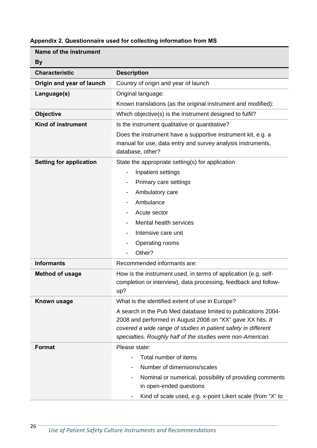| Name of the instrument         |                                                                                                                                           |  |
|--------------------------------|-------------------------------------------------------------------------------------------------------------------------------------------|--|
| By                             |                                                                                                                                           |  |
| <b>Characteristic</b>          | <b>Description</b>                                                                                                                        |  |
| Origin and year of launch      | Country of origin and year of launch                                                                                                      |  |
| Language(s)                    | Original language:                                                                                                                        |  |
|                                | Known translations (as the original instrument and modified):                                                                             |  |
| <b>Objective</b>               | Which objective(s) is the instrument designed to fulfil?                                                                                  |  |
| <b>Kind of instrument</b>      | Is the instrument qualitative or quantitative?                                                                                            |  |
|                                | Does the instrument have a supportive instrument kit, e.g. a                                                                              |  |
|                                | manual for use, data entry and survey analysis instruments,                                                                               |  |
|                                | database, other?                                                                                                                          |  |
| <b>Setting for application</b> | State the appropriate setting(s) for application                                                                                          |  |
|                                | Inpatient settings<br>$\overline{\phantom{0}}$                                                                                            |  |
|                                | Primary care settings                                                                                                                     |  |
|                                | Ambulatory care                                                                                                                           |  |
|                                | Ambulance                                                                                                                                 |  |
|                                | Acute sector                                                                                                                              |  |
|                                | Mental health services                                                                                                                    |  |
|                                | Intensive care unit                                                                                                                       |  |
|                                | Operating rooms                                                                                                                           |  |
|                                | Other?                                                                                                                                    |  |
| <b>Informants</b>              | Recommended informants are:                                                                                                               |  |
| <b>Method of usage</b>         | How is the instrument used, in terms of application (e.g. self-<br>completion or interview), data processing, feedback and follow-<br>up? |  |
| Known usage                    | What is the identified extent of use in Europe?                                                                                           |  |
|                                | A search in the Pub Med database limited to publications 2004-                                                                            |  |
|                                | 2008 and performed in August 2008 on "XX" gave XX hits. It                                                                                |  |
|                                | covered a wide range of studies in patient safety in different                                                                            |  |
|                                | specialties. Roughly half of the studies were non-American.                                                                               |  |
| <b>Format</b>                  | Please state:                                                                                                                             |  |
|                                | Total number of items                                                                                                                     |  |
|                                | Number of dimensions/scales                                                                                                               |  |
|                                | Nominal or numerical, possibility of providing comments                                                                                   |  |
|                                | in open-ended questions                                                                                                                   |  |
|                                | Kind of scale used, e.g. x-point Likert scale (from "X" to                                                                                |  |

# **Appendix 2. Questionnaire used for collecting information from MS**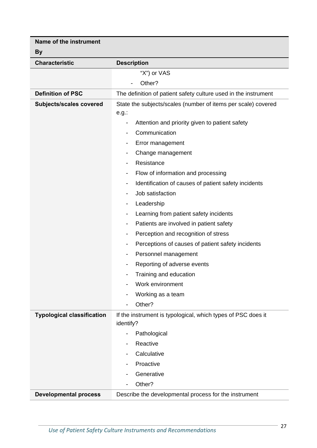| Name of the instrument<br><b>By</b> |                                                                                  |  |
|-------------------------------------|----------------------------------------------------------------------------------|--|
| <b>Characteristic</b>               | <b>Description</b>                                                               |  |
|                                     | "X") or VAS                                                                      |  |
|                                     | Other?                                                                           |  |
| <b>Definition of PSC</b>            | The definition of patient safety culture used in the instrument                  |  |
| <b>Subjects/scales covered</b>      | State the subjects/scales (number of items per scale) covered<br>$e.g.$ :        |  |
|                                     | Attention and priority given to patient safety<br>$\qquad \qquad \blacksquare$   |  |
|                                     | Communication<br>$\overline{\phantom{0}}$                                        |  |
|                                     | Error management<br>$\overline{\phantom{0}}$                                     |  |
|                                     | Change management<br>$\overline{\phantom{a}}$                                    |  |
|                                     | Resistance<br>$\overline{\phantom{0}}$                                           |  |
|                                     | Flow of information and processing<br>$\overline{\phantom{a}}$                   |  |
|                                     | Identification of causes of patient safety incidents<br>$\overline{\phantom{a}}$ |  |
|                                     | Job satisfaction<br>-                                                            |  |
|                                     | Leadership<br>$\overline{\phantom{0}}$                                           |  |
|                                     | Learning from patient safety incidents<br>$\overline{\phantom{0}}$               |  |
|                                     | Patients are involved in patient safety<br>-                                     |  |
|                                     | Perception and recognition of stress<br>$\overline{\phantom{a}}$                 |  |
|                                     | Perceptions of causes of patient safety incidents<br>$\overline{\phantom{a}}$    |  |
|                                     | Personnel management<br>-                                                        |  |
|                                     | Reporting of adverse events                                                      |  |
|                                     | Training and education                                                           |  |
|                                     | Work environment                                                                 |  |
|                                     | Working as a team                                                                |  |
|                                     | Other?                                                                           |  |
| <b>Typological classification</b>   | If the instrument is typological, which types of PSC does it                     |  |
|                                     | identify?                                                                        |  |
|                                     | Pathological                                                                     |  |
|                                     | Reactive                                                                         |  |
|                                     | Calculative                                                                      |  |
|                                     | Proactive                                                                        |  |
|                                     | Generative                                                                       |  |
|                                     | Other?                                                                           |  |

**Developmental process** Describe the developmental process for the instrument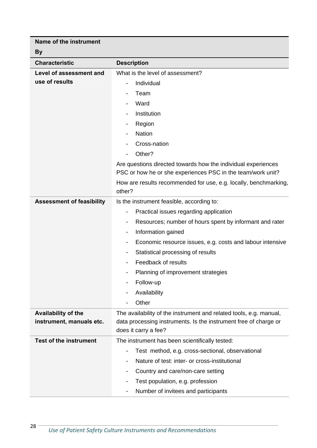**Name of the instrument** 

## **By**

| <b>Description</b>                                                                  |  |
|-------------------------------------------------------------------------------------|--|
| What is the level of assessment?                                                    |  |
| Individual<br>$\overline{\phantom{a}}$                                              |  |
| Team                                                                                |  |
| Ward                                                                                |  |
| Institution                                                                         |  |
| Region                                                                              |  |
| <b>Nation</b>                                                                       |  |
| Cross-nation                                                                        |  |
| Other?                                                                              |  |
| Are questions directed towards how the individual experiences                       |  |
| PSC or how he or she experiences PSC in the team/work unit?                         |  |
| How are results recommended for use, e.g. locally, benchmarking,<br>other?          |  |
| Is the instrument feasible, according to:                                           |  |
| Practical issues regarding application                                              |  |
| Resources; number of hours spent by informant and rater<br>$\overline{\phantom{a}}$ |  |
| Information gained<br>$\overline{\phantom{a}}$                                      |  |
| Economic resource issues, e.g. costs and labour intensive                           |  |
| Statistical processing of results                                                   |  |
| Feedback of results                                                                 |  |
| Planning of improvement strategies                                                  |  |
| Follow-up                                                                           |  |
| Availability                                                                        |  |
| Other                                                                               |  |
| The availability of the instrument and related tools, e.g. manual,                  |  |
| data processing instruments. Is the instrument free of charge or                    |  |
| does it carry a fee?                                                                |  |
| The instrument has been scientifically tested:                                      |  |
| Test method, e.g. cross-sectional, observational                                    |  |
| Nature of test: inter- or cross-institutional                                       |  |
| Country and care/non-care setting                                                   |  |
| Test population, e.g. profession<br>Number of invitees and participants             |  |
|                                                                                     |  |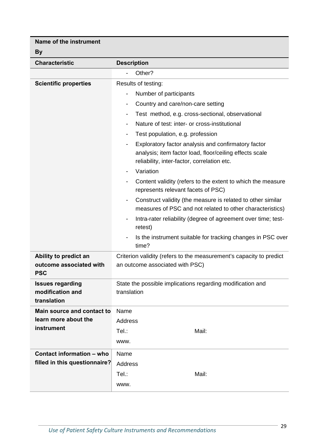**Name of the instrument** 

# **By**

| — у<br><b>Characteristic</b>                                   | <b>Description</b>                                                                                                                                                                                                                                                                              |  |
|----------------------------------------------------------------|-------------------------------------------------------------------------------------------------------------------------------------------------------------------------------------------------------------------------------------------------------------------------------------------------|--|
|                                                                | Other?                                                                                                                                                                                                                                                                                          |  |
| <b>Scientific properties</b>                                   | Results of testing:                                                                                                                                                                                                                                                                             |  |
|                                                                | Number of participants                                                                                                                                                                                                                                                                          |  |
|                                                                | Country and care/non-care setting<br>$\qquad \qquad \blacksquare$                                                                                                                                                                                                                               |  |
|                                                                | Test method, e.g. cross-sectional, observational<br>$\overline{\phantom{a}}$                                                                                                                                                                                                                    |  |
|                                                                | Nature of test: inter- or cross-institutional<br>$\overline{\phantom{a}}$                                                                                                                                                                                                                       |  |
|                                                                | Test population, e.g. profession<br>$\overline{\phantom{a}}$                                                                                                                                                                                                                                    |  |
|                                                                | Exploratory factor analysis and confirmatory factor<br>analysis; item factor load, floor/ceiling effects scale<br>reliability, inter-factor, correlation etc.<br>Variation<br>$\overline{\phantom{a}}$                                                                                          |  |
|                                                                | Content validity (refers to the extent to which the measure<br>represents relevant facets of PSC)                                                                                                                                                                                               |  |
|                                                                | Construct validity (the measure is related to other similar<br>$\overline{\phantom{a}}$<br>measures of PSC and not related to other characteristics)<br>Intra-rater reliability (degree of agreement over time; test-<br>retest)<br>Is the instrument suitable for tracking changes in PSC over |  |
|                                                                | time?                                                                                                                                                                                                                                                                                           |  |
| Ability to predict an<br>outcome associated with<br><b>PSC</b> | Criterion validity (refers to the measurement's capacity to predict<br>an outcome associated with PSC)                                                                                                                                                                                          |  |
| <b>Issues regarding</b><br>modification and<br>translation     | State the possible implications regarding modification and<br>translation                                                                                                                                                                                                                       |  |
| Main source and contact to                                     | Name                                                                                                                                                                                                                                                                                            |  |
| learn more about the<br>instrument                             | <b>Address</b>                                                                                                                                                                                                                                                                                  |  |
|                                                                | Tel.:<br>Mail:                                                                                                                                                                                                                                                                                  |  |
|                                                                | WWW.                                                                                                                                                                                                                                                                                            |  |
| Contact information - who                                      | Name                                                                                                                                                                                                                                                                                            |  |
| filled in this questionnaire?                                  | Address                                                                                                                                                                                                                                                                                         |  |
|                                                                | Tel.:<br>Mail:                                                                                                                                                                                                                                                                                  |  |
|                                                                | www.                                                                                                                                                                                                                                                                                            |  |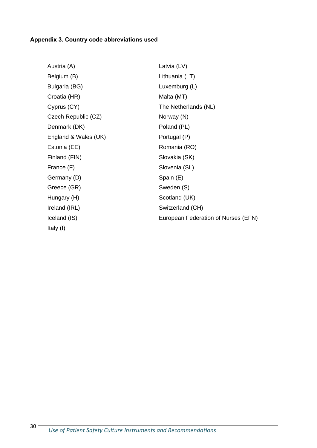# **Appendix 3. Country code abbreviations used**

| Austria (A)          | Latvia (LV)                         |
|----------------------|-------------------------------------|
| Belgium (B)          | Lithuania (LT)                      |
| Bulgaria (BG)        | Luxemburg (L)                       |
| Croatia (HR)         | Malta (MT)                          |
| Cyprus (CY)          | The Netherlands (NL)                |
| Czech Republic (CZ)  | Norway (N)                          |
| Denmark (DK)         | Poland (PL)                         |
| England & Wales (UK) | Portugal (P)                        |
| Estonia (EE)         | Romania (RO)                        |
| Finland (FIN)        | Slovakia (SK)                       |
| France (F)           | Slovenia (SL)                       |
| Germany (D)          | Spain (E)                           |
| Greece (GR)          | Sweden (S)                          |
| Hungary (H)          | Scotland (UK)                       |
| Ireland (IRL)        | Switzerland (CH)                    |
| Iceland (IS)         | European Federation of Nurses (EFN) |
| Italy $(I)$          |                                     |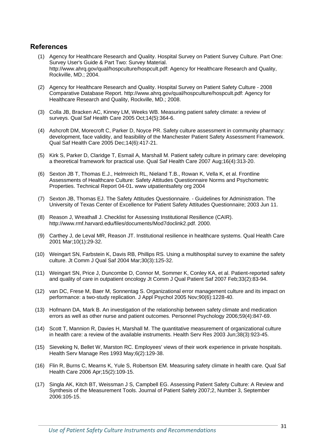#### **References**

- (1) Agency for Healthcare Research and Quality. Hospital Survey on Patient Survey Culture. Part One: Survey User's Guide & Part Two: Survey Material. http://www.ahrq.gov/qual/hospculture/hospcult.pdf: Agency for Healthcare Research and Quality, Rockville, MD.; 2004.
- (2) Agency for Healthcare Research and Quality. Hospital Survey on Patient Safety Culture 2008 Comparative Database Report. http://www.ahrq.gov/qual/hospculture/hospcult.pdf: Agency for Healthcare Research and Quality, Rockville, MD.; 2008.
- (3) Colla JB, Bracken AC, Kinney LM, Weeks WB. Measuring patient safety climate: a review of surveys. Qual Saf Health Care 2005 Oct;14(5):364-6.
- (4) Ashcroft DM, Morecroft C, Parker D, Noyce PR. Safety culture assessment in community pharmacy: development, face validity, and feasibility of the Manchester Patient Safety Assessment Framework. Qual Saf Health Care 2005 Dec;14(6):417-21.
- (5) Kirk S, Parker D, Claridge T, Esmail A, Marshall M. Patient safety culture in primary care: developing a theoretical framework for practical use. Qual Saf Health Care 2007 Aug;16(4):313-20.
- (6) Sexton JB T, Thomas E.J., Helmreich RL, Nieland T.B., Rowan K, Vella K, et al. Frontline Assessments of Healthcare Culture: Safety Attitudes Questionnaire Norms and Psychometric Properties. Technical Report 04-01**.** www utpatientsafety org 2004
- (7) Sexton JB, Thomas EJ. The Safety Attitudes Questionnaire. Guidelines for Administration. The University of Texas Center of Excellence for Patient Safety Attitudes Questionnaire; 2003 Jun 11.
- (8) Reason J, Wreathall J. Checklist for Assessing Institutional Resilience (CAIR). http://www.rmf.harvard.edu/files/documents/Mod7doclink2.pdf. 2000.
- (9) Carthey J, de Leval MR, Reason JT. Institutional resilience in healthcare systems. Qual Health Care 2001 Mar;10(1):29-32.
- (10) Weingart SN, Farbstein K, Davis RB, Phillips RS. Using a multihospital survey to examine the safety culture. Jt Comm J Qual Saf 2004 Mar;30(3):125-32.
- (11) Weingart SN, Price J, Duncombe D, Connor M, Sommer K, Conley KA, et al. Patient-reported safety and quality of care in outpatient oncology Jt Comm J Qual Patient Saf 2007 Feb;33(2):83-94.
- (12) van DC, Frese M, Baer M, Sonnentag S. Organizational error management culture and its impact on performance: a two-study replication. J Appl Psychol 2005 Nov;90(6):1228-40.
- (13) Hofmann DA, Mark B. An investigation of the relationship between safety climate and medication errors as well as other nurse and patient outcomes. Personnel Psychology 2006;59(4):847-69.
- (14) Scott T, Mannion R, Davies H, Marshall M. The quantitative measurement of organizational culture in health care: a review of the available instruments. Health Serv Res 2003 Jun;38(3):923-45.
- (15) Sieveking N, Bellet W, Marston RC. Employees' views of their work experience in private hospitals. Health Serv Manage Res 1993 May;6(2):129-38.
- (16) Flin R, Burns C, Mearns K, Yule S, Robertson EM. Measuring safety climate in health care. Qual Saf Health Care 2006 Apr;15(2):109-15.
- (17) Singla AK, Kitch BT, Weissman J S, Campbell EG. Assessing Patient Safety Culture: A Review and Synthesis of the Measurement Tools. Journal of Patient Safety 2007;2, Number 3, September 2006:105-15.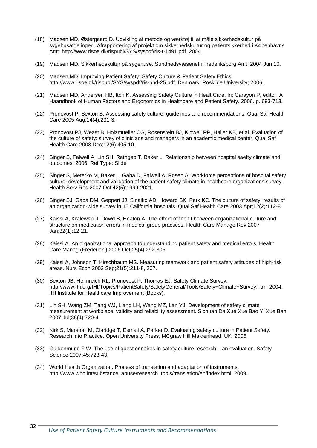- (18) Madsen MD, Østergaard D. Udvikling af metode og værktøj til at måle sikkerhedskultur på sygehusafdelinger . Afrapportering af projekt om sikkerhedskultur og patientsikkerhed i Københavns Amt. http://www.risoe.dk/rispubl/SYS/syspdf/ris-r-1491.pdf. 2004.
- (19) Madsen MD. Sikkerhedskultur på sygehuse. Sundhedsvæsenet i Frederiksborg Amt; 2004 Jun 10.
- (20) Madsen MD. Improving Patient Safety: Safety Culture & Patient Safety Ethics. http://www.risoe.dk/rispubl/SYS/syspdf/ris-phd-25.pdf. Denmark: Roskilde University; 2006.
- (21) Madsen MD, Andersen HB, Itoh K. Assessing Safety Culture in Healt Care. In: Carayon P, editor. A Haandbook of Human Factors and Ergonomics in Healthcare and Patient Safety. 2006. p. 693-713.
- (22) Pronovost P, Sexton B. Assessing safety culture: guidelines and recommendations. Qual Saf Health Care 2005 Aug;14(4):231-3.
- (23) Pronovost PJ, Weast B, Holzmueller CG, Rosenstein BJ, Kidwell RP, Haller KB, et al. Evaluation of the culture of safety: survey of clinicians and managers in an academic medical center. Qual Saf Health Care 2003 Dec;12(6):405-10.
- (24) Singer S, Falwell A, Lin SH, Rathgeb T, Baker L. Relationship between hospital saefty climate and outcomes. 2006. Ref Type: Slide
- (25) Singer S, Meterko M, Baker L, Gaba D, Falwell A, Rosen A. Workforce perceptions of hospital safety culture: development and validation of the patient safety climate in healthcare organizations survey. Health Serv Res 2007 Oct;42(5):1999-2021.
- (26) Singer SJ, Gaba DM, Geppert JJ, Sinaiko AD, Howard SK, Park KC. The culture of safety: results of an organization-wide survey in 15 California hospitals. Qual Saf Health Care 2003 Apr;12(2):112-8.
- (27) Kaissi A, Kralewski J, Dowd B, Heaton A. The effect of the fit between organizational culture and structure on medication errors in medical group practices. Health Care Manage Rev 2007 Jan;32(1):12-21.
- (28) Kaissi A. An organizational approach to understanding patient safety and medical errors. Health Care Manag (Frederick ) 2006 Oct;25(4):292-305.
- (29) Kaissi A, Johnson T, Kirschbaum MS. Measuring teamwork and patient safety attitudes of high-risk areas. Nurs Econ 2003 Sep;21(5):211-8, 207.
- (30) Sexton JB, Helmreich RL, Pronovost P, Thomas EJ. Safety Climate Survey. http://www.ihi.org/IHI/Topics/PatientSafety/SafetyGeneral/Tools/Safety+Climate+Survey.htm. 2004. IHI Institute for Healthcare Improvement (Books).
- (31) Lin SH, Wang ZM, Tang WJ, Liang LH, Wang MZ, Lan YJ. Development of safety climate measurement at workplace: validity and reliability assessment. Sichuan Da Xue Xue Bao Yi Xue Ban 2007 Jul;38(4):720-4.
- (32) Kirk S, Marshall M, Claridge T, Esmail A, Parker D. Evaluating safety culture in Patient Safety. Research into Practice. Open University Press, MCgraw Hill Maidenhead, UK; 2006.
- (33) Guldenmund F.W. The use of questionnaires in safety culture research an evaluation. Safety Science 2007;45:723-43.
- (34) World Health Organization. Process of translation and adaptation of instruments. http://www.who.int/substance\_abuse/research\_tools/translation/en/index.html. 2009.